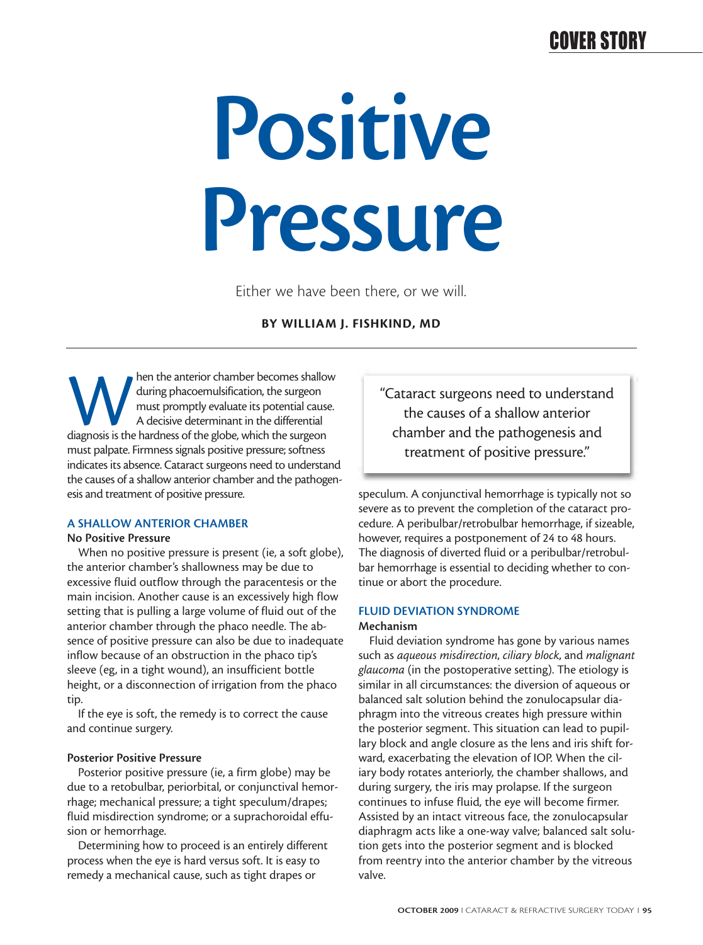# **Positive Pressure**

Either we have been there, or we will.

#### **BY WILLIAM J. FISHKIND, MD**

Matter anterior chamber becomes shallow<br>
during phacoemulsification, the surgeon<br>
must promptly evaluate its potential<br>
diagnosis is the hardness of the globe, which the surgeon during phacoemulsification, the surgeon must promptly evaluate its potential cause. A decisive determinant in the differential must palpate. Firmness signals positive pressure; softness indicates its absence. Cataract surgeons need to understand the causes of a shallow anterior chamber and the pathogenesis and treatment of positive pressure.

#### **A SHALLOW ANTERIOR CHAMBER**

#### **No Positive Pressure**

When no positive pressure is present (ie, a soft globe), the anterior chamber's shallowness may be due to excessive fluid outflow through the paracentesis or the main incision. Another cause is an excessively high flow setting that is pulling a large volume of fluid out of the anterior chamber through the phaco needle. The absence of positive pressure can also be due to inadequate inflow because of an obstruction in the phaco tip's sleeve (eg, in a tight wound), an insufficient bottle height, or a disconnection of irrigation from the phaco tip.

If the eye is soft, the remedy is to correct the cause and continue surgery.

#### **Posterior Positive Pressure**

Posterior positive pressure (ie, a firm globe) may be due to a retobulbar, periorbital, or conjunctival hemorrhage; mechanical pressure; a tight speculum/drapes; fluid misdirection syndrome; or a suprachoroidal effusion or hemorrhage.

Determining how to proceed is an entirely different process when the eye is hard versus soft. It is easy to remedy a mechanical cause, such as tight drapes or

"Cataract surgeons need to understand the causes of a shallow anterior chamber and the pathogenesis and treatment of positive pressure."

speculum. A conjunctival hemorrhage is typically not so severe as to prevent the completion of the cataract procedure. A peribulbar/retrobulbar hemorrhage, if sizeable, however, requires a postponement of 24 to 48 hours. The diagnosis of diverted fluid or a peribulbar/retrobulbar hemorrhage is essential to deciding whether to continue or abort the procedure.

### **FLUID DEVIATION SYNDROME**

#### **Mechanism**

Fluid deviation syndrome has gone by various names such as *aqueous misdirection*, *ciliary block*, and *malignant glaucoma* (in the postoperative setting). The etiology is similar in all circumstances: the diversion of aqueous or balanced salt solution behind the zonulocapsular diaphragm into the vitreous creates high pressure within the posterior segment. This situation can lead to pupillary block and angle closure as the lens and iris shift forward, exacerbating the elevation of IOP. When the ciliary body rotates anteriorly, the chamber shallows, and during surgery, the iris may prolapse. If the surgeon continues to infuse fluid, the eye will become firmer. Assisted by an intact vitreous face, the zonulocapsular diaphragm acts like a one-way valve; balanced salt solution gets into the posterior segment and is blocked from reentry into the anterior chamber by the vitreous valve.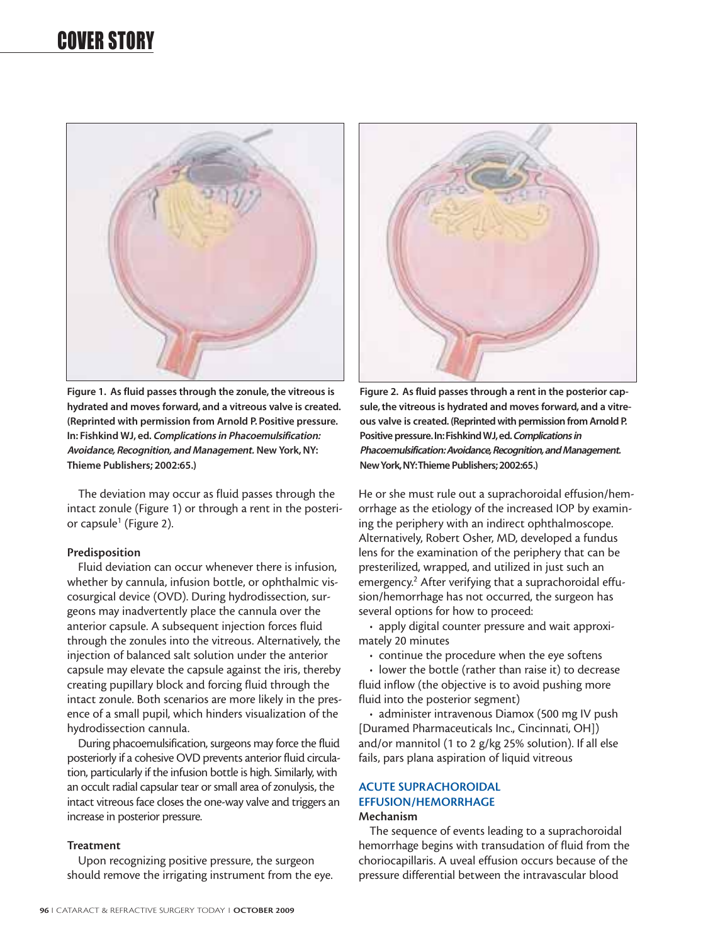

**Figure 1. As fluid passes through the zonule, the vitreous is hydrated and moves forward, and a vitreous valve is created. (Reprinted with permission from Arnold P. Positive pressure. In: Fishkind WJ, ed. Complications in Phacoemulsification: Avoidance, Recognition, and Management. New York, NY: Thieme Publishers; 2002:65.)**

The deviation may occur as fluid passes through the intact zonule (Figure 1) or through a rent in the posterior capsule<sup>1</sup> (Figure 2).

#### **Predisposition**

Fluid deviation can occur whenever there is infusion, whether by cannula, infusion bottle, or ophthalmic viscosurgical device (OVD). During hydrodissection, surgeons may inadvertently place the cannula over the anterior capsule. A subsequent injection forces fluid through the zonules into the vitreous. Alternatively, the injection of balanced salt solution under the anterior capsule may elevate the capsule against the iris, thereby creating pupillary block and forcing fluid through the intact zonule. Both scenarios are more likely in the presence of a small pupil, which hinders visualization of the hydrodissection cannula.

During phacoemulsification, surgeons may force the fluid posteriorly if a cohesive OVD prevents anterior fluid circulation, particularly if the infusion bottle is high. Similarly, with an occult radial capsular tear or small area of zonulysis, the intact vitreous face closes the one-way valve and triggers an increase in posterior pressure.

#### **Treatment**

Upon recognizing positive pressure, the surgeon should remove the irrigating instrument from the eye.



**Figure 2. As fluid passes through a rent in the posterior capsule, the vitreous is hydrated and moves forward, and a vitreous valve is created. (Reprinted with permission from Arnold P. Positive pressure.In:Fishkind WJ,ed.Complications in Phacoemulsification: Avoidance,Recognition,and Management. New York,NY:Thieme Publishers; 2002:65.)**

He or she must rule out a suprachoroidal effusion/hemorrhage as the etiology of the increased IOP by examining the periphery with an indirect ophthalmoscope. Alternatively, Robert Osher, MD, developed a fundus lens for the examination of the periphery that can be presterilized, wrapped, and utilized in just such an emergency.<sup>2</sup> After verifying that a suprachoroidal effusion/hemorrhage has not occurred, the surgeon has several options for how to proceed:

• apply digital counter pressure and wait approximately 20 minutes

• continue the procedure when the eye softens

• lower the bottle (rather than raise it) to decrease fluid inflow (the objective is to avoid pushing more fluid into the posterior segment)

• administer intravenous Diamox (500 mg IV push [Duramed Pharmaceuticals Inc., Cincinnati, OH]) and/or mannitol (1 to 2 g/kg 25% solution). If all else fails, pars plana aspiration of liquid vitreous

#### **ACUTE SUPRACHOROIDAL EFFUSION/HEMORRHAGE Mechanism**

The sequence of events leading to a suprachoroidal hemorrhage begins with transudation of fluid from the choriocapillaris. A uveal effusion occurs because of the pressure differential between the intravascular blood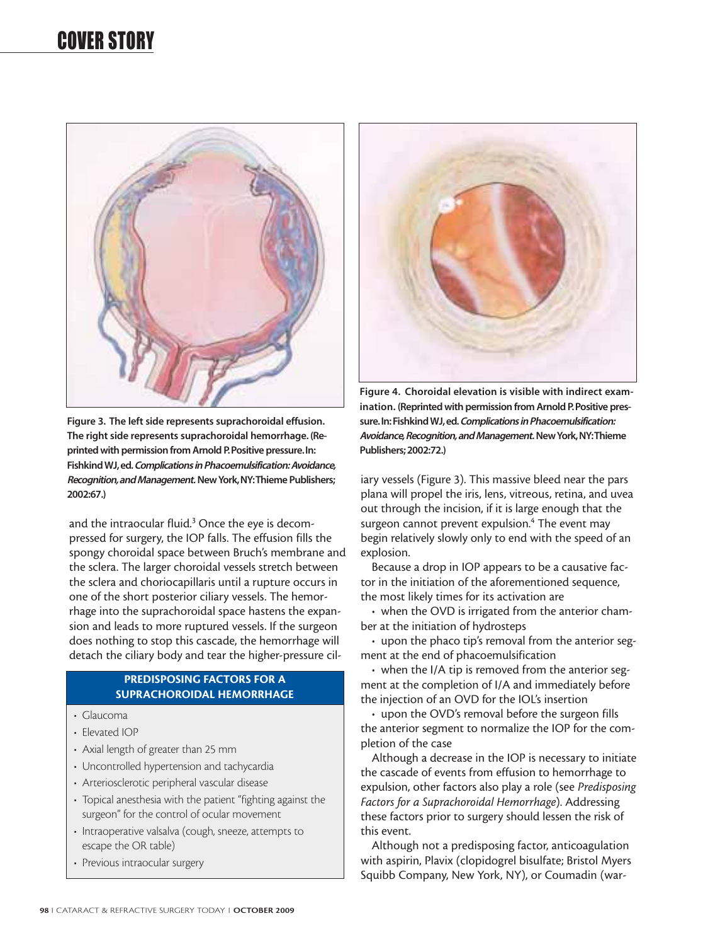

**Figure 3. The left side represents suprachoroidal effusion. The right side represents suprachoroidal hemorrhage. (Reprinted with permission from Arnold P.Positive pressure.In: Fishkind WJ,ed.Complications in Phacoemulsification: Avoidance, Recognition,and Management.New York,NY:Thieme Publishers; 2002:67.)**

and the intraocular fluid.<sup>3</sup> Once the eye is decompressed for surgery, the IOP falls. The effusion fills the spongy choroidal space between Bruch's membrane and the sclera. The larger choroidal vessels stretch between the sclera and choriocapillaris until a rupture occurs in one of the short posterior ciliary vessels. The hemorrhage into the suprachoroidal space hastens the expansion and leads to more ruptured vessels. If the surgeon does nothing to stop this cascade, the hemorrhage will detach the ciliary body and tear the higher-pressure cil-

#### **PREDISPOSING FACTORS FOR A SUPRACHOROIDAL HEMORRHAGE**

- Glaucoma
- Elevated IOP
- Axial length of greater than 25 mm
- Uncontrolled hypertension and tachycardia
- Arteriosclerotic peripheral vascular disease
- Topical anesthesia with the patient "fighting against the surgeon" for the control of ocular movement
- Intraoperative valsalva (cough, sneeze, attempts to escape the OR table)
- Previous intraocular surgery



**Figure 4. Choroidal elevation is visible with indirect examination. (Reprinted with permission from Arnold P.Positive pressure.In:Fishkind WJ,ed.Complications in Phacoemulsification: Avoidance,Recognition,and Management.New York,NY:Thieme Publishers; 2002:72.)**

iary vessels (Figure 3). This massive bleed near the pars plana will propel the iris, lens, vitreous, retina, and uvea out through the incision, if it is large enough that the surgeon cannot prevent expulsion.<sup>4</sup> The event may begin relatively slowly only to end with the speed of an explosion.

Because a drop in IOP appears to be a causative factor in the initiation of the aforementioned sequence, the most likely times for its activation are

• when the OVD is irrigated from the anterior chamber at the initiation of hydrosteps

• upon the phaco tip's removal from the anterior segment at the end of phacoemulsification

• when the I/A tip is removed from the anterior segment at the completion of I/A and immediately before the injection of an OVD for the IOL's insertion

• upon the OVD's removal before the surgeon fills the anterior segment to normalize the IOP for the completion of the case

Although a decrease in the IOP is necessary to initiate the cascade of events from effusion to hemorrhage to expulsion, other factors also play a role (see *Predisposing Factors for a Suprachoroidal Hemorrhage*). Addressing these factors prior to surgery should lessen the risk of this event.

Although not a predisposing factor, anticoagulation with aspirin, Plavix (clopidogrel bisulfate; Bristol Myers Squibb Company, New York, NY), or Coumadin (war-